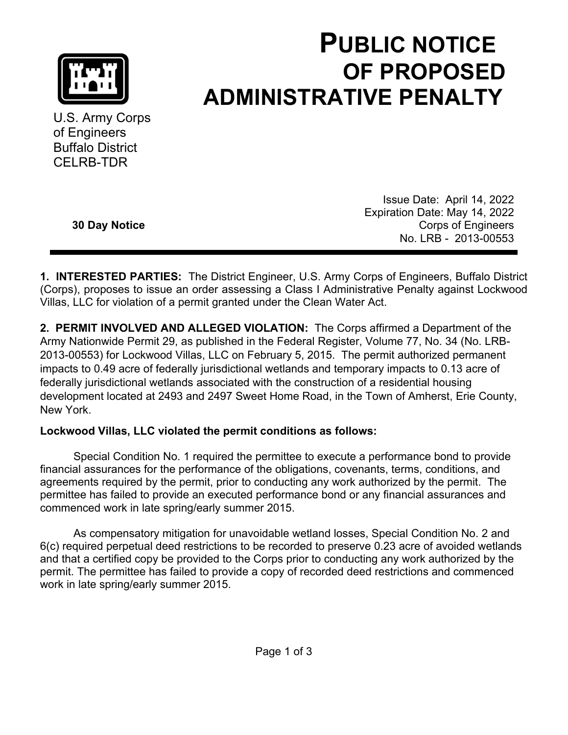

U.S. Army Corps of Engineers Buffalo District CELRB-TDR

**30 Day Notice** 

## **PUBLIC NOTICE OF PROPOSED ADMINISTRATIVE PENALTY**

|      | Issue Date: April 14, 2022    |
|------|-------------------------------|
|      | Expiration Date: May 14, 2022 |
| tice | Corps of Engineers            |
|      | No. LRB - 2013-00553          |

**1. INTERESTED PARTIES:** The District Engineer, U.S. Army Corps of Engineers, Buffalo District (Corps), proposes to issue an order assessing a Class I Administrative Penalty against Lockwood

**2. PERMIT INVOLVED AND ALLEGED VIOLATION:** The Corps affirmed a Department of the Army Nationwide Permit 29, as published in the Federal Register, Volume 77, No. 34 (No. LRB-2013-00553) for Lockwood Villas, LLC on February 5, 2015. The permit authorized permanent impacts to 0.49 acre of federally jurisdictional wetlands and temporary impacts to 0.13 acre of federally jurisdictional wetlands associated with the construction of a residential housing development located at 2493 and 2497 Sweet Home Road, in the Town of Amherst, Erie County, New York.

## **Lockwood Villas, LLC violated the permit conditions as follows:**

Villas, LLC for violation of a permit granted under the Clean Water Act.

 Special Condition No. 1 required the permittee to execute a performance bond to provide financial assurances for the performance of the obligations, covenants, terms, conditions, and agreements required by the permit, prior to conducting any work authorized by the permit. The permittee has failed to provide an executed performance bond or any financial assurances and commenced work in late spring/early summer 2015.

 As compensatory mitigation for unavoidable wetland losses, Special Condition No. 2 and 6(c) required perpetual deed restrictions to be recorded to preserve 0.23 acre of avoided wetlands and that a certified copy be provided to the Corps prior to conducting any work authorized by the permit. The permittee has failed to provide a copy of recorded deed restrictions and commenced work in late spring/early summer 2015.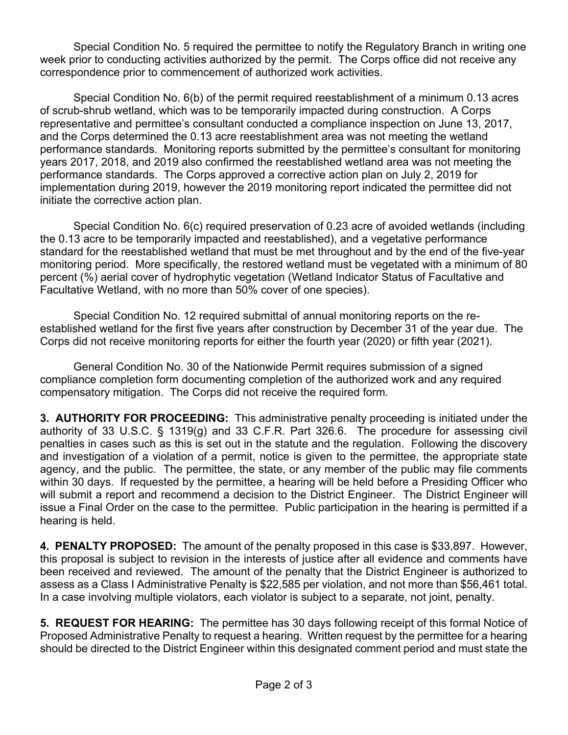Special Condition No. 5 required the permittee to notify the Regulatory Branch in writing one week prior to conducting activities authorized by the permit. The Corps office did not receive any correspondence prior to commencement of authorized work activities.

 Special Condition No. 6(b) of the permit required reestablishment of a minimum 0.13 acres of scrub-shrub wetland, which was to be temporarily impacted during construction. A Corps representative and permittee's consultant conducted a compliance inspection on June 13, 2017, and the Corps determined the 0.13 acre reestablishment area was not meeting the wetland performance standards. Monitoring reports submitted by the permittee's consultant for monitoring years 2017, 2018, and 2019 also confirmed the reestablished wetland area was not meeting the performance standards. The Corps approved a corrective action plan on July 2, 2019 for implementation during 2019, however the 2019 monitoring report indicated the permittee did not initiate the corrective action plan.

 Special Condition No. 6(c) required preservation of 0.23 acre of avoided wetlands (including the 0.13 acre to be temporarily impacted and reestablished), and a vegetative performance standard for the reestablished wetland that must be met throughout and by the end of the five-year monitoring period. More specifically, the restored wetland must be vegetated with a minimum of 80 percent (%) aerial cover of hydrophytic vegetation (Wetland Indicator Status of Facultative and Facultative Wetland, with no more than 50% cover of one species).

 Special Condition No. 12 required submittal of annual monitoring reports on the reestablished wetland for the first five years after construction by December 31 of the year due. The Corps did not receive monitoring reports for either the fourth year (2020) or fifth year (2021).

 General Condition No. 30 of the Nationwide Permit requires submission of a signed compliance completion form documenting completion of the authorized work and any required compensatory mitigation. The Corps did not receive the required form.

**3. AUTHORITY FOR PROCEEDING:** This administrative penalty proceeding is initiated under the authority of 33 U.S.C. § 1319(g) and 33 C.F.R. Part 326.6. The procedure for assessing civil penalties in cases such as this is set out in the statute and the regulation. Following the discovery and investigation of a violation of a permit, notice is given to the permittee, the appropriate state agency, and the public. The permittee, the state, or any member of the public may file comments within 30 days. If requested by the permittee, a hearing will be held before a Presiding Officer who will submit a report and recommend a decision to the District Engineer. The District Engineer will issue a Final Order on the case to the permittee. Public participation in the hearing is permitted if a hearing is held.

**4. PENALTY PROPOSED:** The amount of the penalty proposed in this case is \$33,897. However, this proposal is subject to revision in the interests of justice after all evidence and comments have been received and reviewed. The amount of the penalty that the District Engineer is authorized to assess as a Class I Administrative Penalty is \$22,585 per violation, and not more than \$56,461 total. In a case involving multiple violators, each violator is subject to a separate, not joint, penalty.

**5. REQUEST FOR HEARING:** The permittee has 30 days following receipt of this formal Notice of Proposed Administrative Penalty to request a hearing. Written request by the permittee for a hearing should be directed to the District Engineer within this designated comment period and must state the